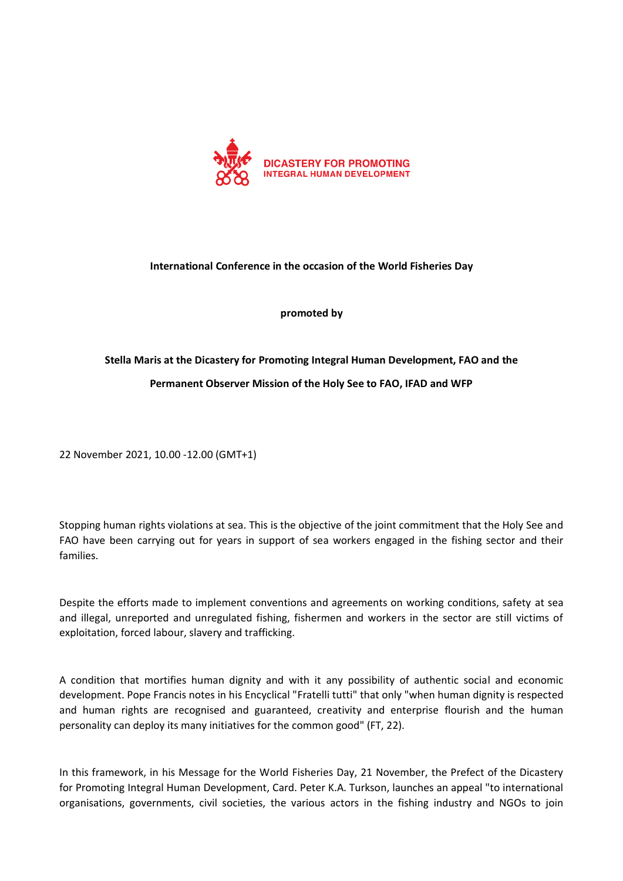

## **International Conference in the occasion of the World Fisheries Day**

**promoted by**

## **Stella Maris at the Dicastery for Promoting Integral Human Development, FAO and the Permanent Observer Mission of the Holy See to FAO, IFAD and WFP**

22 November 2021, 10.00 -12.00 (GMT+1)

Stopping human rights violations at sea. This is the objective of the joint commitment that the Holy See and FAO have been carrying out for years in support of sea workers engaged in the fishing sector and their families.

Despite the efforts made to implement conventions and agreements on working conditions, safety at sea and illegal, unreported and unregulated fishing, fishermen and workers in the sector are still victims of exploitation, forced labour, slavery and trafficking.

A condition that mortifies human dignity and with it any possibility of authentic social and economic development. Pope Francis notes in his Encyclical "Fratelli tutti" that only "when human dignity is respected and human rights are recognised and guaranteed, creativity and enterprise flourish and the human personality can deploy its many initiatives for the common good" (FT, 22).

In this framework, in his Message for the World Fisheries Day, 21 November, the Prefect of the Dicastery for Promoting Integral Human Development, Card. Peter K.A. Turkson, launches an appeal "to international organisations, governments, civil societies, the various actors in the fishing industry and NGOs to join